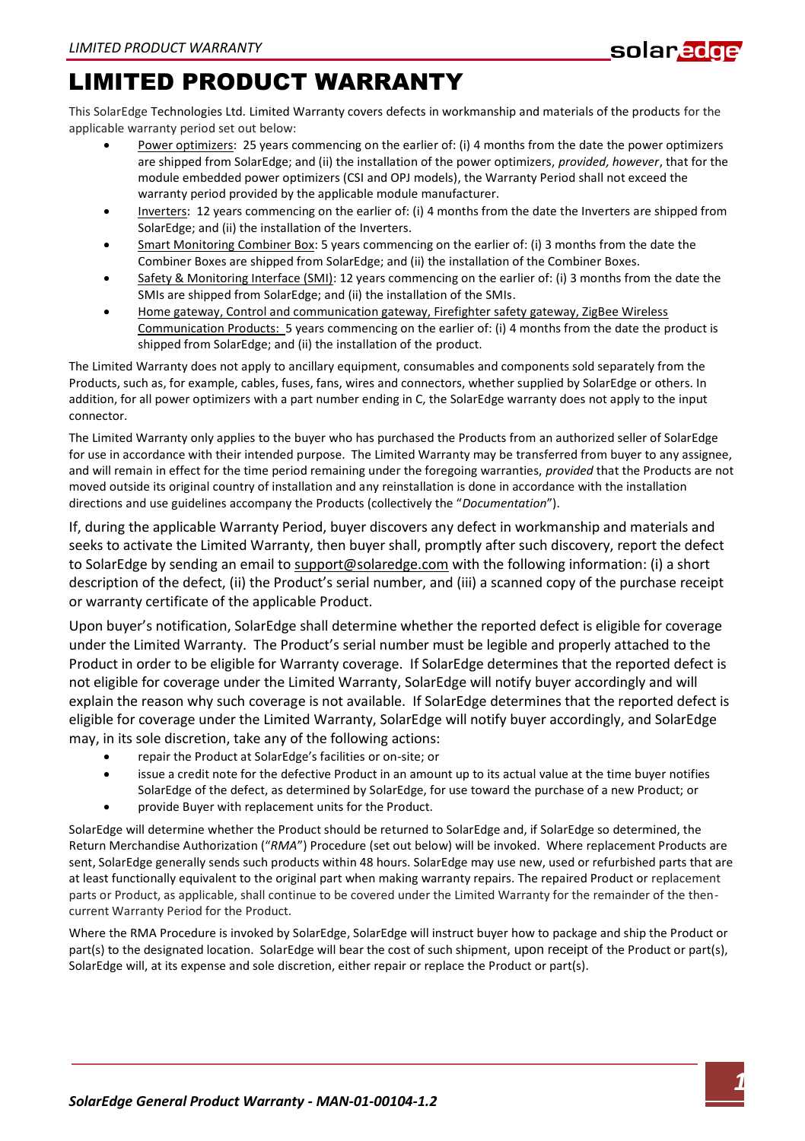## LIMITED PRODUCT WARRANTY

This SolarEdge Technologies Ltd. Limited Warranty covers defects in workmanship and materials of the products for the applicable warranty period set out below:

- Power optimizers: 25 years commencing on the earlier of: (i) 4 months from the date the power optimizers are shipped from SolarEdge; and (ii) the installation of the power optimizers, *provided, however*, that for the module embedded power optimizers (CSI and OPJ models), the Warranty Period shall not exceed the warranty period provided by the applicable module manufacturer.
- Inverters: 12 years commencing on the earlier of: (i) 4 months from the date the Inverters are shipped from SolarEdge; and (ii) the installation of the Inverters.
- Smart Monitoring Combiner Box: 5 years commencing on the earlier of: (i) 3 months from the date the Combiner Boxes are shipped from SolarEdge; and (ii) the installation of the Combiner Boxes.
- Safety & Monitoring Interface (SMI): 12 years commencing on the earlier of: (i) 3 months from the date the SMIs are shipped from SolarEdge; and (ii) the installation of the SMIs.
- Home gateway, Control and communication gateway, Firefighter safety gateway, ZigBee Wireless Communication Products: 5 years commencing on the earlier of: (i) 4 months from the date the product is shipped from SolarEdge; and (ii) the installation of the product.

The Limited Warranty does not apply to ancillary equipment, consumables and components sold separately from the Products, such as, for example, cables, fuses, fans, wires and connectors, whether supplied by SolarEdge or others. In addition, for all power optimizers with a part number ending in C, the SolarEdge warranty does not apply to the input connector.

The Limited Warranty only applies to the buyer who has purchased the Products from an authorized seller of SolarEdge for use in accordance with their intended purpose. The Limited Warranty may be transferred from buyer to any assignee, and will remain in effect for the time period remaining under the foregoing warranties, *provided* that the Products are not moved outside its original country of installation and any reinstallation is done in accordance with the installation directions and use guidelines accompany the Products (collectively the "*Documentation*").

If, during the applicable Warranty Period, buyer discovers any defect in workmanship and materials and seeks to activate the Limited Warranty, then buyer shall, promptly after such discovery, report the defect to SolarEdge by sending an email to support@solaredge.com with the following information: (i) a short description of the defect, (ii) the Product's serial number, and (iii) a scanned copy of the purchase receipt or warranty certificate of the applicable Product.

Upon buyer's notification, SolarEdge shall determine whether the reported defect is eligible for coverage under the Limited Warranty. The Product's serial number must be legible and properly attached to the Product in order to be eligible for Warranty coverage. If SolarEdge determines that the reported defect is not eligible for coverage under the Limited Warranty, SolarEdge will notify buyer accordingly and will explain the reason why such coverage is not available. If SolarEdge determines that the reported defect is eligible for coverage under the Limited Warranty, SolarEdge will notify buyer accordingly, and SolarEdge may, in its sole discretion, take any of the following actions:

- repair the Product at SolarEdge's facilities or on-site; or
- issue a credit note for the defective Product in an amount up to its actual value at the time buyer notifies SolarEdge of the defect, as determined by SolarEdge, for use toward the purchase of a new Product; or
- provide Buyer with replacement units for the Product.

SolarEdge will determine whether the Product should be returned to SolarEdge and, if SolarEdge so determined, the Return Merchandise Authorization ("*RMA*") Procedure (set out below) will be invoked. Where replacement Products are sent, SolarEdge generally sends such products within 48 hours. SolarEdge may use new, used or refurbished parts that are at least functionally equivalent to the original part when making warranty repairs. The repaired Product or replacement parts or Product, as applicable, shall continue to be covered under the Limited Warranty for the remainder of the thencurrent Warranty Period for the Product.

Where the RMA Procedure is invoked by SolarEdge, SolarEdge will instruct buyer how to package and ship the Product or part(s) to the designated location. SolarEdge will bear the cost of such shipment, upon receipt of the Product or part(s), SolarEdge will, at its expense and sole discretion, either repair or replace the Product or part(s).

solar<mark>edge</mark>